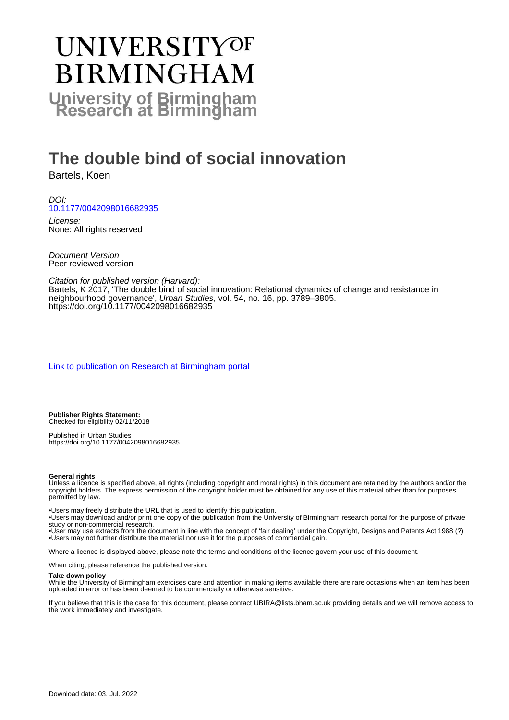# UNIVERSITYOF **BIRMINGHAM University of Birmingham**

## **The double bind of social innovation**

Bartels, Koen

DOI: [10.1177/0042098016682935](https://doi.org/10.1177/0042098016682935)

License: None: All rights reserved

Document Version Peer reviewed version

Citation for published version (Harvard): Bartels, K 2017, 'The double bind of social innovation: Relational dynamics of change and resistance in neighbourhood governance', Urban Studies, vol. 54, no. 16, pp. 3789–3805. <https://doi.org/10.1177/0042098016682935>

[Link to publication on Research at Birmingham portal](https://birmingham.elsevierpure.com/en/publications/b62985fa-00d4-4152-a14e-9bafdcbde3ec)

**Publisher Rights Statement:** Checked for eligibility 02/11/2018

Published in Urban Studies https://doi.org/10.1177/0042098016682935

#### **General rights**

Unless a licence is specified above, all rights (including copyright and moral rights) in this document are retained by the authors and/or the copyright holders. The express permission of the copyright holder must be obtained for any use of this material other than for purposes permitted by law.

• Users may freely distribute the URL that is used to identify this publication.

• Users may download and/or print one copy of the publication from the University of Birmingham research portal for the purpose of private study or non-commercial research.

• User may use extracts from the document in line with the concept of 'fair dealing' under the Copyright, Designs and Patents Act 1988 (?) • Users may not further distribute the material nor use it for the purposes of commercial gain.

Where a licence is displayed above, please note the terms and conditions of the licence govern your use of this document.

When citing, please reference the published version.

#### **Take down policy**

While the University of Birmingham exercises care and attention in making items available there are rare occasions when an item has been uploaded in error or has been deemed to be commercially or otherwise sensitive.

If you believe that this is the case for this document, please contact UBIRA@lists.bham.ac.uk providing details and we will remove access to the work immediately and investigate.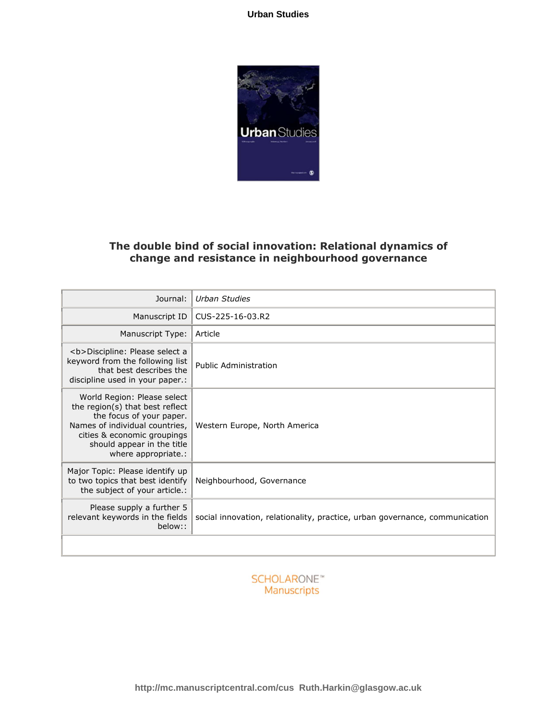

### **The double bind of social innovation: Relational dynamics of change and resistance in neighbourhood governance**

| Journal:                                                                                                                                                                                                         | Urban Studies                                                               |
|------------------------------------------------------------------------------------------------------------------------------------------------------------------------------------------------------------------|-----------------------------------------------------------------------------|
| Manuscript ID                                                                                                                                                                                                    | CUS-225-16-03.R2                                                            |
| Manuscript Type:                                                                                                                                                                                                 | Article                                                                     |
| <b>Discipline: Please select a<br/>keyword from the following list<br/>that best describes the<br/>discipline used in your paper.:</b>                                                                           | Public Administration                                                       |
| World Region: Please select<br>the region(s) that best reflect<br>the focus of your paper.<br>Names of individual countries,<br>cities & economic groupings<br>should appear in the title<br>where appropriate.: | Western Europe, North America                                               |
| Major Topic: Please identify up<br>to two topics that best identify<br>the subject of your article.:                                                                                                             | Neighbourhood, Governance                                                   |
| Please supply a further 5<br>relevant keywords in the fields<br>below::                                                                                                                                          | social innovation, relationality, practice, urban governance, communication |
|                                                                                                                                                                                                                  |                                                                             |

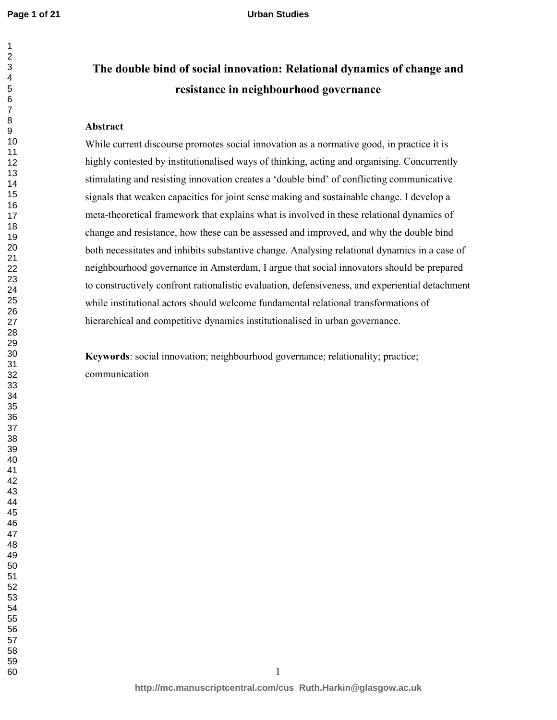## **The double bind of social innovation: Relational dynamics of change and resistance in neighbourhood governance**

#### **Abstract**

While current discourse promotes social innovation as a normative good, in practice it is highly contested by institutionalised ways of thinking, acting and organising. Concurrently stimulating and resisting innovation creates a 'double bind' of conflicting communicative signals that weaken capacities for joint sense making and sustainable change. I develop a meta-theoretical framework that explains what is involved in these relational dynamics of change and resistance, how these can be assessed and improved, and why the double bind both necessitates and inhibits substantive change. Analysing relational dynamics in a case of neighbourhood governance in Amsterdam, I argue that social innovators should be prepared to constructively confront rationalistic evaluation, defensiveness, and experiential detachment while institutional actors should welcome fundamental relational transformations of hierarchical and competitive dynamics institutionalised in urban governance.

**Keywords**: social innovation; neighbourhood governance; relationality; practice; communication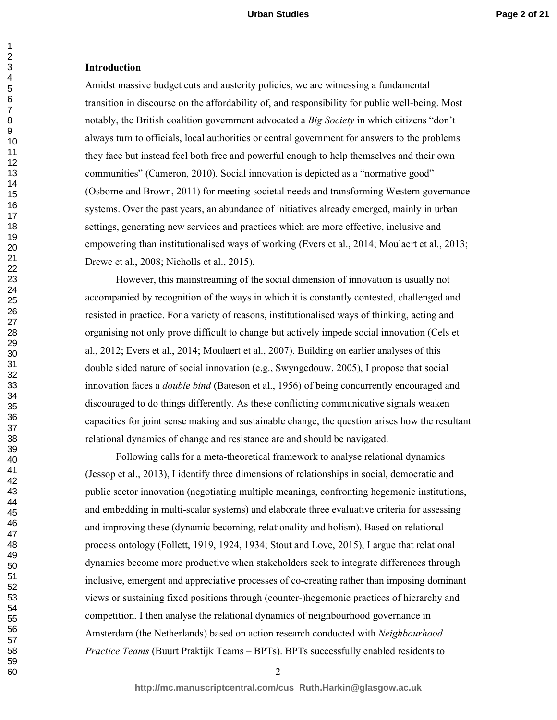#### **Introduction**

Amidst massive budget cuts and austerity policies, we are witnessing a fundamental transition in discourse on the affordability of, and responsibility for public well-being. Most notably, the British coalition government advocated a *Big Society* in which citizens "don't always turn to officials, local authorities or central government for answers to the problems they face but instead feel both free and powerful enough to help themselves and their own communities" (Cameron, 2010). Social innovation is depicted as a "normative good" (Osborne and Brown, 2011) for meeting societal needs and transforming Western governance systems. Over the past years, an abundance of initiatives already emerged, mainly in urban settings, generating new services and practices which are more effective, inclusive and empowering than institutionalised ways of working (Evers et al., 2014; Moulaert et al., 2013; Drewe et al., 2008; Nicholls et al., 2015).

However, this mainstreaming of the social dimension of innovation is usually not accompanied by recognition of the ways in which it is constantly contested, challenged and resisted in practice. For a variety of reasons, institutionalised ways of thinking, acting and organising not only prove difficult to change but actively impede social innovation (Cels et al., 2012; Evers et al., 2014; Moulaert et al., 2007). Building on earlier analyses of this double sided nature of social innovation (e.g., Swyngedouw, 2005), I propose that social innovation faces a *double bind* (Bateson et al., 1956) of being concurrently encouraged and discouraged to do things differently. As these conflicting communicative signals weaken capacities for joint sense making and sustainable change, the question arises how the resultant relational dynamics of change and resistance are and should be navigated.

 Following calls for a meta-theoretical framework to analyse relational dynamics (Jessop et al., 2013), I identify three dimensions of relationships in social, democratic and public sector innovation (negotiating multiple meanings, confronting hegemonic institutions, and embedding in multi-scalar systems) and elaborate three evaluative criteria for assessing and improving these (dynamic becoming, relationality and holism). Based on relational process ontology (Follett, 1919, 1924, 1934; Stout and Love, 2015), I argue that relational dynamics become more productive when stakeholders seek to integrate differences through inclusive, emergent and appreciative processes of co-creating rather than imposing dominant views or sustaining fixed positions through (counter-)hegemonic practices of hierarchy and competition. I then analyse the relational dynamics of neighbourhood governance in Amsterdam (the Netherlands) based on action research conducted with *Neighbourhood Practice Teams* (Buurt Praktijk Teams – BPTs). BPTs successfully enabled residents to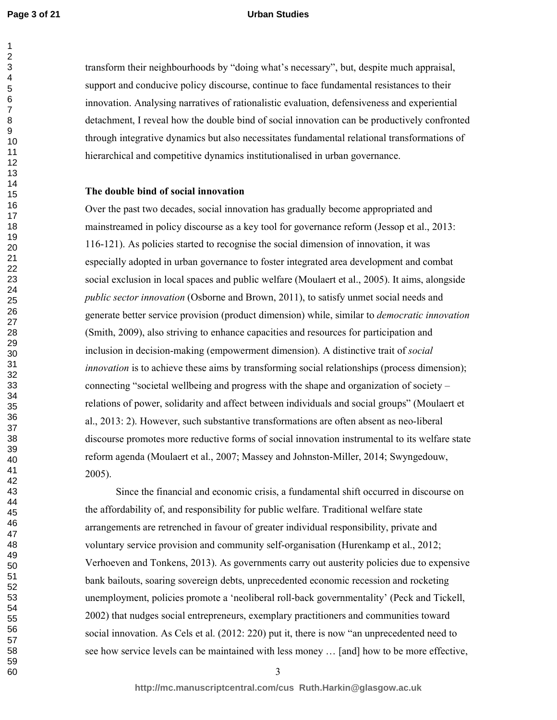#### **Urban Studies**

transform their neighbourhoods by "doing what's necessary", but, despite much appraisal, support and conducive policy discourse, continue to face fundamental resistances to their innovation. Analysing narratives of rationalistic evaluation, defensiveness and experiential detachment, I reveal how the double bind of social innovation can be productively confronted through integrative dynamics but also necessitates fundamental relational transformations of hierarchical and competitive dynamics institutionalised in urban governance.

#### **The double bind of social innovation**

Over the past two decades, social innovation has gradually become appropriated and mainstreamed in policy discourse as a key tool for governance reform (Jessop et al., 2013: 116-121). As policies started to recognise the social dimension of innovation, it was especially adopted in urban governance to foster integrated area development and combat social exclusion in local spaces and public welfare (Moulaert et al., 2005). It aims, alongside *public sector innovation* (Osborne and Brown, 2011), to satisfy unmet social needs and generate better service provision (product dimension) while, similar to *democratic innovation*  (Smith, 2009), also striving to enhance capacities and resources for participation and inclusion in decision-making (empowerment dimension). A distinctive trait of *social innovation* is to achieve these aims by transforming social relationships (process dimension); connecting "societal wellbeing and progress with the shape and organization of society – relations of power, solidarity and affect between individuals and social groups" (Moulaert et al., 2013: 2). However, such substantive transformations are often absent as neo-liberal discourse promotes more reductive forms of social innovation instrumental to its welfare state reform agenda (Moulaert et al., 2007; Massey and Johnston-Miller, 2014; Swyngedouw, 2005).

Since the financial and economic crisis, a fundamental shift occurred in discourse on the affordability of, and responsibility for public welfare. Traditional welfare state arrangements are retrenched in favour of greater individual responsibility, private and voluntary service provision and community self-organisation (Hurenkamp et al., 2012; Verhoeven and Tonkens, 2013). As governments carry out austerity policies due to expensive bank bailouts, soaring sovereign debts, unprecedented economic recession and rocketing unemployment, policies promote a 'neoliberal roll-back governmentality' (Peck and Tickell, 2002) that nudges social entrepreneurs, exemplary practitioners and communities toward social innovation. As Cels et al. (2012: 220) put it, there is now "an unprecedented need to see how service levels can be maintained with less money … [and] how to be more effective,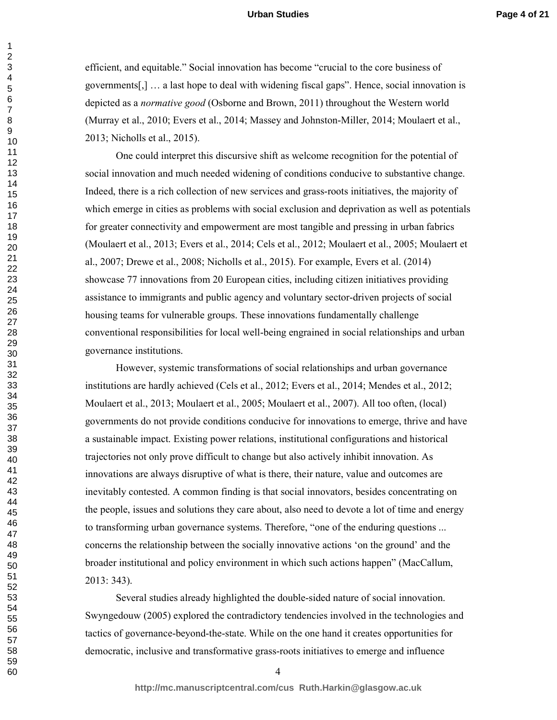efficient, and equitable." Social innovation has become "crucial to the core business of governments[,] … a last hope to deal with widening fiscal gaps". Hence, social innovation is depicted as a *normative good* (Osborne and Brown, 2011) throughout the Western world (Murray et al., 2010; Evers et al., 2014; Massey and Johnston-Miller, 2014; Moulaert et al., 2013; Nicholls et al., 2015).

One could interpret this discursive shift as welcome recognition for the potential of social innovation and much needed widening of conditions conducive to substantive change. Indeed, there is a rich collection of new services and grass-roots initiatives, the majority of which emerge in cities as problems with social exclusion and deprivation as well as potentials for greater connectivity and empowerment are most tangible and pressing in urban fabrics (Moulaert et al., 2013; Evers et al., 2014; Cels et al., 2012; Moulaert et al., 2005; Moulaert et al., 2007; Drewe et al., 2008; Nicholls et al., 2015). For example, Evers et al. (2014) showcase 77 innovations from 20 European cities, including citizen initiatives providing assistance to immigrants and public agency and voluntary sector-driven projects of social housing teams for vulnerable groups. These innovations fundamentally challenge conventional responsibilities for local well-being engrained in social relationships and urban governance institutions.

However, systemic transformations of social relationships and urban governance institutions are hardly achieved (Cels et al., 2012; Evers et al., 2014; Mendes et al., 2012; Moulaert et al., 2013; Moulaert et al., 2005; Moulaert et al., 2007). All too often, (local) governments do not provide conditions conducive for innovations to emerge, thrive and have a sustainable impact. Existing power relations, institutional configurations and historical trajectories not only prove difficult to change but also actively inhibit innovation. As innovations are always disruptive of what is there, their nature, value and outcomes are inevitably contested. A common finding is that social innovators, besides concentrating on the people, issues and solutions they care about, also need to devote a lot of time and energy to transforming urban governance systems. Therefore, "one of the enduring questions ... concerns the relationship between the socially innovative actions 'on the ground' and the broader institutional and policy environment in which such actions happen" (MacCallum, 2013: 343).

Several studies already highlighted the double-sided nature of social innovation. Swyngedouw (2005) explored the contradictory tendencies involved in the technologies and tactics of governance-beyond-the-state. While on the one hand it creates opportunities for democratic, inclusive and transformative grass-roots initiatives to emerge and influence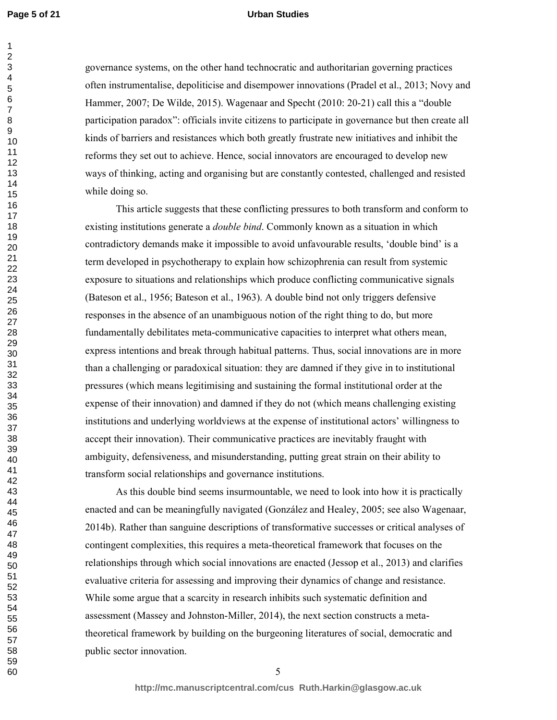#### **Urban Studies**

governance systems, on the other hand technocratic and authoritarian governing practices often instrumentalise, depoliticise and disempower innovations (Pradel et al., 2013; Novy and Hammer, 2007; De Wilde, 2015). Wagenaar and Specht (2010: 20-21) call this a "double participation paradox": officials invite citizens to participate in governance but then create all kinds of barriers and resistances which both greatly frustrate new initiatives and inhibit the reforms they set out to achieve. Hence, social innovators are encouraged to develop new ways of thinking, acting and organising but are constantly contested, challenged and resisted while doing so.

This article suggests that these conflicting pressures to both transform and conform to existing institutions generate a *double bind*. Commonly known as a situation in which contradictory demands make it impossible to avoid unfavourable results, 'double bind' is a term developed in psychotherapy to explain how schizophrenia can result from systemic exposure to situations and relationships which produce conflicting communicative signals (Bateson et al., 1956; Bateson et al., 1963). A double bind not only triggers defensive responses in the absence of an unambiguous notion of the right thing to do, but more fundamentally debilitates meta-communicative capacities to interpret what others mean, express intentions and break through habitual patterns. Thus, social innovations are in more than a challenging or paradoxical situation: they are damned if they give in to institutional pressures (which means legitimising and sustaining the formal institutional order at the expense of their innovation) and damned if they do not (which means challenging existing institutions and underlying worldviews at the expense of institutional actors' willingness to accept their innovation). Their communicative practices are inevitably fraught with ambiguity, defensiveness, and misunderstanding, putting great strain on their ability to transform social relationships and governance institutions.

As this double bind seems insurmountable, we need to look into how it is practically enacted and can be meaningfully navigated (González and Healey, 2005; see also Wagenaar, 2014b). Rather than sanguine descriptions of transformative successes or critical analyses of contingent complexities, this requires a meta-theoretical framework that focuses on the relationships through which social innovations are enacted (Jessop et al., 2013) and clarifies evaluative criteria for assessing and improving their dynamics of change and resistance. While some argue that a scarcity in research inhibits such systematic definition and assessment (Massey and Johnston-Miller, 2014), the next section constructs a metatheoretical framework by building on the burgeoning literatures of social, democratic and public sector innovation.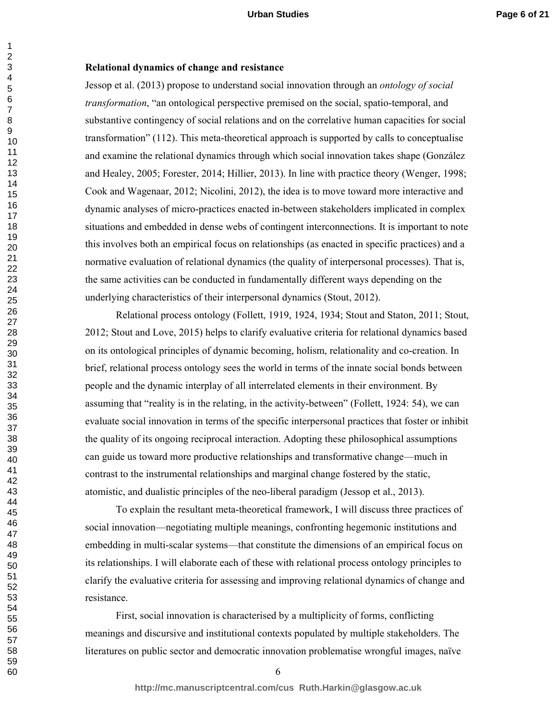#### **Relational dynamics of change and resistance**

Jessop et al. (2013) propose to understand social innovation through an *ontology of social transformation*, "an ontological perspective premised on the social, spatio-temporal, and substantive contingency of social relations and on the correlative human capacities for social transformation" (112). This meta-theoretical approach is supported by calls to conceptualise and examine the relational dynamics through which social innovation takes shape (González and Healey, 2005; Forester, 2014; Hillier, 2013). In line with practice theory (Wenger, 1998; Cook and Wagenaar, 2012; Nicolini, 2012), the idea is to move toward more interactive and dynamic analyses of micro-practices enacted in-between stakeholders implicated in complex situations and embedded in dense webs of contingent interconnections. It is important to note this involves both an empirical focus on relationships (as enacted in specific practices) and a normative evaluation of relational dynamics (the quality of interpersonal processes). That is, the same activities can be conducted in fundamentally different ways depending on the underlying characteristics of their interpersonal dynamics (Stout, 2012).

Relational process ontology (Follett, 1919, 1924, 1934; Stout and Staton, 2011; Stout, 2012; Stout and Love, 2015) helps to clarify evaluative criteria for relational dynamics based on its ontological principles of dynamic becoming, holism, relationality and co-creation. In brief, relational process ontology sees the world in terms of the innate social bonds between people and the dynamic interplay of all interrelated elements in their environment. By assuming that "reality is in the relating, in the activity-between" (Follett, 1924: 54), we can evaluate social innovation in terms of the specific interpersonal practices that foster or inhibit the quality of its ongoing reciprocal interaction. Adopting these philosophical assumptions can guide us toward more productive relationships and transformative change—much in contrast to the instrumental relationships and marginal change fostered by the static, atomistic, and dualistic principles of the neo-liberal paradigm (Jessop et al., 2013).

To explain the resultant meta-theoretical framework, I will discuss three practices of social innovation—negotiating multiple meanings, confronting hegemonic institutions and embedding in multi-scalar systems—that constitute the dimensions of an empirical focus on its relationships. I will elaborate each of these with relational process ontology principles to clarify the evaluative criteria for assessing and improving relational dynamics of change and resistance.

 First, social innovation is characterised by a multiplicity of forms, conflicting meanings and discursive and institutional contexts populated by multiple stakeholders. The literatures on public sector and democratic innovation problematise wrongful images, naïve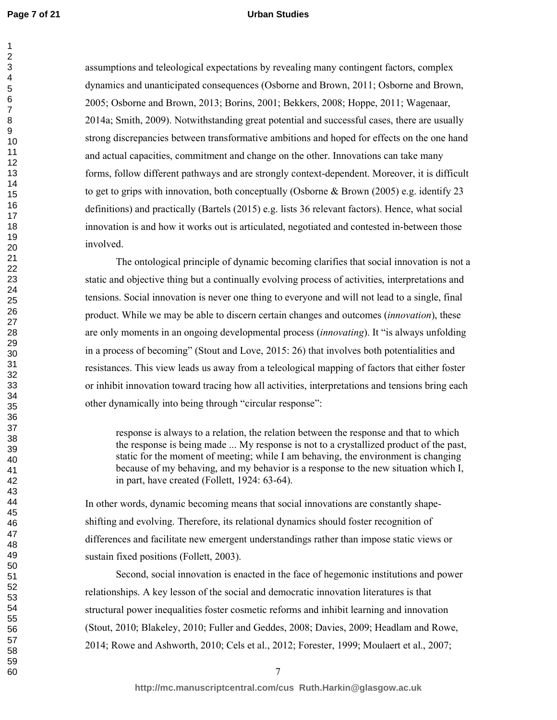#### **Urban Studies**

assumptions and teleological expectations by revealing many contingent factors, complex dynamics and unanticipated consequences (Osborne and Brown, 2011; Osborne and Brown, 2005; Osborne and Brown, 2013; Borins, 2001; Bekkers, 2008; Hoppe, 2011; Wagenaar, 2014a; Smith, 2009). Notwithstanding great potential and successful cases, there are usually strong discrepancies between transformative ambitions and hoped for effects on the one hand and actual capacities, commitment and change on the other. Innovations can take many forms, follow different pathways and are strongly context-dependent. Moreover, it is difficult to get to grips with innovation, both conceptually (Osborne & Brown (2005) e.g. identify 23 definitions) and practically (Bartels (2015) e.g. lists 36 relevant factors). Hence, what social innovation is and how it works out is articulated, negotiated and contested in-between those involved.

 The ontological principle of dynamic becoming clarifies that social innovation is not a static and objective thing but a continually evolving process of activities, interpretations and tensions. Social innovation is never one thing to everyone and will not lead to a single, final product. While we may be able to discern certain changes and outcomes (*innovation*), these are only moments in an ongoing developmental process (*innovating*). It "is always unfolding in a process of becoming" (Stout and Love, 2015: 26) that involves both potentialities and resistances. This view leads us away from a teleological mapping of factors that either foster or inhibit innovation toward tracing how all activities, interpretations and tensions bring each other dynamically into being through "circular response":

response is always to a relation, the relation between the response and that to which the response is being made ... My response is not to a crystallized product of the past, static for the moment of meeting; while I am behaving, the environment is changing because of my behaving, and my behavior is a response to the new situation which I, in part, have created (Follett, 1924: 63-64).

In other words, dynamic becoming means that social innovations are constantly shapeshifting and evolving. Therefore, its relational dynamics should foster recognition of differences and facilitate new emergent understandings rather than impose static views or sustain fixed positions (Follett, 2003).

Second, social innovation is enacted in the face of hegemonic institutions and power relationships. A key lesson of the social and democratic innovation literatures is that structural power inequalities foster cosmetic reforms and inhibit learning and innovation (Stout, 2010; Blakeley, 2010; Fuller and Geddes, 2008; Davies, 2009; Headlam and Rowe, 2014; Rowe and Ashworth, 2010; Cels et al., 2012; Forester, 1999; Moulaert et al., 2007;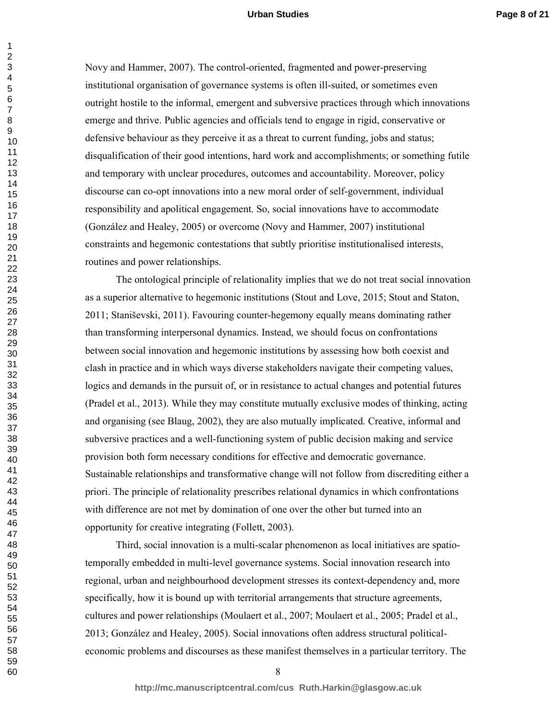Novy and Hammer, 2007). The control-oriented, fragmented and power-preserving institutional organisation of governance systems is often ill-suited, or sometimes even outright hostile to the informal, emergent and subversive practices through which innovations emerge and thrive. Public agencies and officials tend to engage in rigid, conservative or defensive behaviour as they perceive it as a threat to current funding, jobs and status; disqualification of their good intentions, hard work and accomplishments; or something futile and temporary with unclear procedures, outcomes and accountability. Moreover, policy discourse can co-opt innovations into a new moral order of self-government, individual responsibility and apolitical engagement. So, social innovations have to accommodate (González and Healey, 2005) or overcome (Novy and Hammer, 2007) institutional constraints and hegemonic contestations that subtly prioritise institutionalised interests, routines and power relationships.

The ontological principle of relationality implies that we do not treat social innovation as a superior alternative to hegemonic institutions (Stout and Love, 2015; Stout and Staton, 2011; Staniševski, 2011). Favouring counter-hegemony equally means dominating rather than transforming interpersonal dynamics. Instead, we should focus on confrontations between social innovation and hegemonic institutions by assessing how both coexist and clash in practice and in which ways diverse stakeholders navigate their competing values, logics and demands in the pursuit of, or in resistance to actual changes and potential futures (Pradel et al., 2013). While they may constitute mutually exclusive modes of thinking, acting and organising (see Blaug, 2002), they are also mutually implicated. Creative, informal and subversive practices and a well-functioning system of public decision making and service provision both form necessary conditions for effective and democratic governance. Sustainable relationships and transformative change will not follow from discrediting either a priori. The principle of relationality prescribes relational dynamics in which confrontations with difference are not met by domination of one over the other but turned into an opportunity for creative integrating (Follett, 2003).

Third, social innovation is a multi-scalar phenomenon as local initiatives are spatiotemporally embedded in multi-level governance systems. Social innovation research into regional, urban and neighbourhood development stresses its context-dependency and, more specifically, how it is bound up with territorial arrangements that structure agreements, cultures and power relationships (Moulaert et al., 2007; Moulaert et al., 2005; Pradel et al., 2013; González and Healey, 2005). Social innovations often address structural politicaleconomic problems and discourses as these manifest themselves in a particular territory. The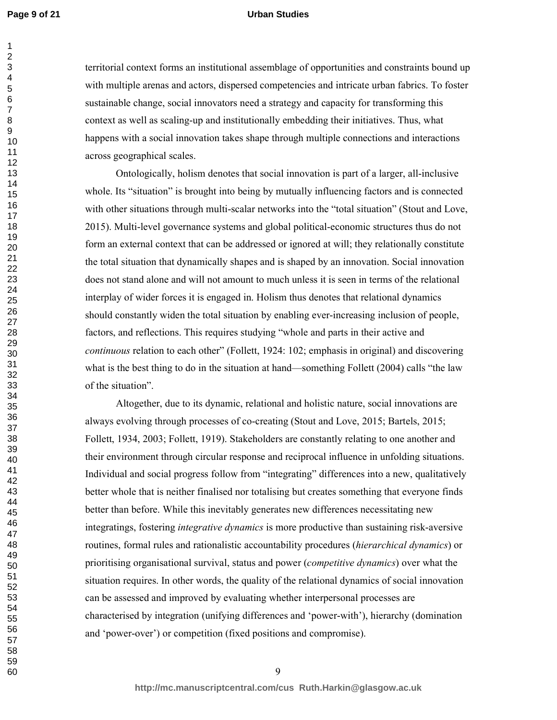#### **Urban Studies**

territorial context forms an institutional assemblage of opportunities and constraints bound up with multiple arenas and actors, dispersed competencies and intricate urban fabrics. To foster sustainable change, social innovators need a strategy and capacity for transforming this context as well as scaling-up and institutionally embedding their initiatives. Thus, what happens with a social innovation takes shape through multiple connections and interactions across geographical scales.

 Ontologically, holism denotes that social innovation is part of a larger, all-inclusive whole. Its "situation" is brought into being by mutually influencing factors and is connected with other situations through multi-scalar networks into the "total situation" (Stout and Love, 2015). Multi-level governance systems and global political-economic structures thus do not form an external context that can be addressed or ignored at will; they relationally constitute the total situation that dynamically shapes and is shaped by an innovation. Social innovation does not stand alone and will not amount to much unless it is seen in terms of the relational interplay of wider forces it is engaged in. Holism thus denotes that relational dynamics should constantly widen the total situation by enabling ever-increasing inclusion of people, factors, and reflections. This requires studying "whole and parts in their active and *continuous* relation to each other" (Follett, 1924: 102; emphasis in original) and discovering what is the best thing to do in the situation at hand—something Follett (2004) calls "the law of the situation".

Altogether, due to its dynamic, relational and holistic nature, social innovations are always evolving through processes of co-creating (Stout and Love, 2015; Bartels, 2015; Follett, 1934, 2003; Follett, 1919). Stakeholders are constantly relating to one another and their environment through circular response and reciprocal influence in unfolding situations. Individual and social progress follow from "integrating" differences into a new, qualitatively better whole that is neither finalised nor totalising but creates something that everyone finds better than before. While this inevitably generates new differences necessitating new integratings, fostering *integrative dynamics* is more productive than sustaining risk-aversive routines, formal rules and rationalistic accountability procedures (*hierarchical dynamics*) or prioritising organisational survival, status and power (*competitive dynamics*) over what the situation requires. In other words, the quality of the relational dynamics of social innovation can be assessed and improved by evaluating whether interpersonal processes are characterised by integration (unifying differences and 'power-with'), hierarchy (domination and 'power-over') or competition (fixed positions and compromise).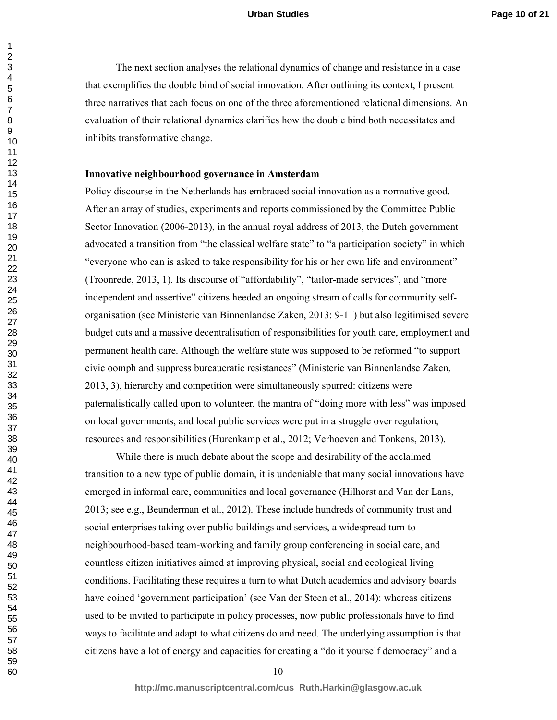The next section analyses the relational dynamics of change and resistance in a case that exemplifies the double bind of social innovation. After outlining its context, I present three narratives that each focus on one of the three aforementioned relational dimensions. An evaluation of their relational dynamics clarifies how the double bind both necessitates and inhibits transformative change.

#### **Innovative neighbourhood governance in Amsterdam**

Policy discourse in the Netherlands has embraced social innovation as a normative good. After an array of studies, experiments and reports commissioned by the Committee Public Sector Innovation (2006-2013), in the annual royal address of 2013, the Dutch government advocated a transition from "the classical welfare state" to "a participation society" in which "everyone who can is asked to take responsibility for his or her own life and environment" (Troonrede, 2013, 1). Its discourse of "affordability", "tailor-made services", and "more independent and assertive" citizens heeded an ongoing stream of calls for community selforganisation (see Ministerie van Binnenlandse Zaken, 2013: 9-11) but also legitimised severe budget cuts and a massive decentralisation of responsibilities for youth care, employment and permanent health care. Although the welfare state was supposed to be reformed "to support civic oomph and suppress bureaucratic resistances" (Ministerie van Binnenlandse Zaken, 2013, 3), hierarchy and competition were simultaneously spurred: citizens were paternalistically called upon to volunteer, the mantra of "doing more with less" was imposed on local governments, and local public services were put in a struggle over regulation, resources and responsibilities (Hurenkamp et al., 2012; Verhoeven and Tonkens, 2013).

 While there is much debate about the scope and desirability of the acclaimed transition to a new type of public domain, it is undeniable that many social innovations have emerged in informal care, communities and local governance (Hilhorst and Van der Lans, 2013; see e.g., Beunderman et al., 2012). These include hundreds of community trust and social enterprises taking over public buildings and services, a widespread turn to neighbourhood-based team-working and family group conferencing in social care, and countless citizen initiatives aimed at improving physical, social and ecological living conditions. Facilitating these requires a turn to what Dutch academics and advisory boards have coined 'government participation' (see Van der Steen et al., 2014): whereas citizens used to be invited to participate in policy processes, now public professionals have to find ways to facilitate and adapt to what citizens do and need. The underlying assumption is that citizens have a lot of energy and capacities for creating a "do it yourself democracy" and a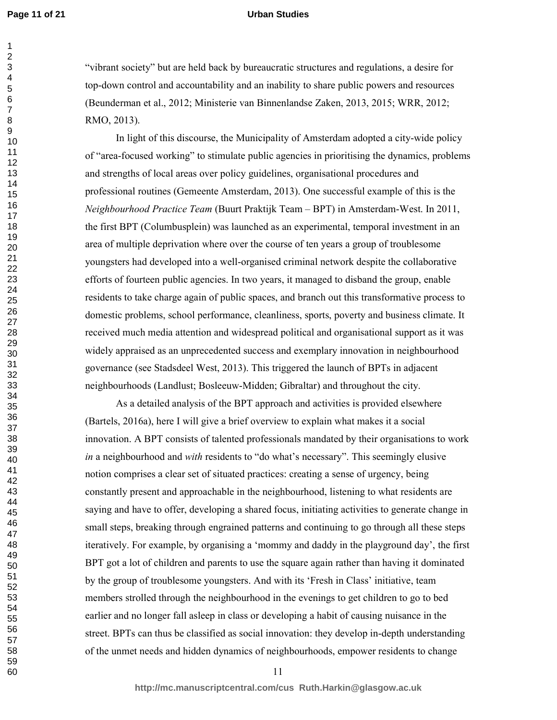#### **Urban Studies**

"vibrant society" but are held back by bureaucratic structures and regulations, a desire for top-down control and accountability and an inability to share public powers and resources (Beunderman et al., 2012; Ministerie van Binnenlandse Zaken, 2013, 2015; WRR, 2012; RMO, 2013).

In light of this discourse, the Municipality of Amsterdam adopted a city-wide policy of "area-focused working" to stimulate public agencies in prioritising the dynamics, problems and strengths of local areas over policy guidelines, organisational procedures and professional routines (Gemeente Amsterdam, 2013). One successful example of this is the *Neighbourhood Practice Team* (Buurt Praktijk Team – BPT) in Amsterdam-West. In 2011, the first BPT (Columbusplein) was launched as an experimental, temporal investment in an area of multiple deprivation where over the course of ten years a group of troublesome youngsters had developed into a well-organised criminal network despite the collaborative efforts of fourteen public agencies. In two years, it managed to disband the group, enable residents to take charge again of public spaces, and branch out this transformative process to domestic problems, school performance, cleanliness, sports, poverty and business climate. It received much media attention and widespread political and organisational support as it was widely appraised as an unprecedented success and exemplary innovation in neighbourhood governance (see Stadsdeel West, 2013). This triggered the launch of BPTs in adjacent neighbourhoods (Landlust; Bosleeuw-Midden; Gibraltar) and throughout the city.

As a detailed analysis of the BPT approach and activities is provided elsewhere (Bartels, 2016a), here I will give a brief overview to explain what makes it a social innovation. A BPT consists of talented professionals mandated by their organisations to work *in* a neighbourhood and *with* residents to "do what's necessary". This seemingly elusive notion comprises a clear set of situated practices: creating a sense of urgency, being constantly present and approachable in the neighbourhood, listening to what residents are saying and have to offer, developing a shared focus, initiating activities to generate change in small steps, breaking through engrained patterns and continuing to go through all these steps iteratively. For example, by organising a 'mommy and daddy in the playground day', the first BPT got a lot of children and parents to use the square again rather than having it dominated by the group of troublesome youngsters. And with its 'Fresh in Class' initiative, team members strolled through the neighbourhood in the evenings to get children to go to bed earlier and no longer fall asleep in class or developing a habit of causing nuisance in the street. BPTs can thus be classified as social innovation: they develop in-depth understanding of the unmet needs and hidden dynamics of neighbourhoods, empower residents to change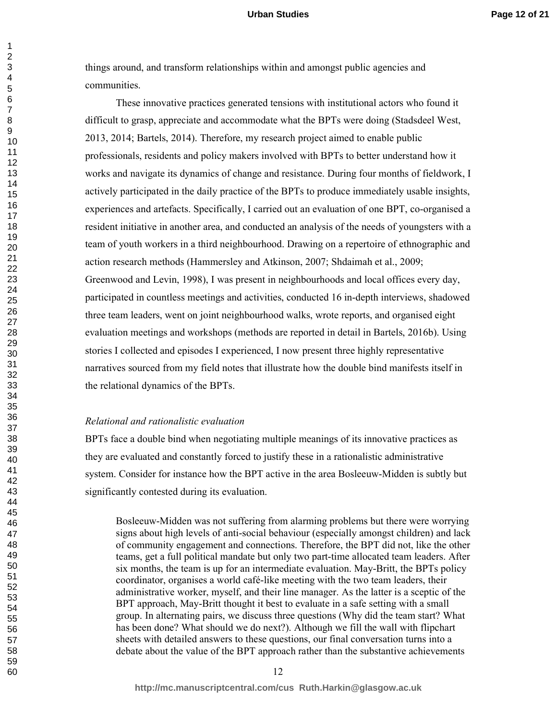things around, and transform relationships within and amongst public agencies and communities.

These innovative practices generated tensions with institutional actors who found it difficult to grasp, appreciate and accommodate what the BPTs were doing (Stadsdeel West, 2013, 2014; Bartels, 2014). Therefore, my research project aimed to enable public professionals, residents and policy makers involved with BPTs to better understand how it works and navigate its dynamics of change and resistance. During four months of fieldwork, I actively participated in the daily practice of the BPTs to produce immediately usable insights, experiences and artefacts. Specifically, I carried out an evaluation of one BPT, co-organised a resident initiative in another area, and conducted an analysis of the needs of youngsters with a team of youth workers in a third neighbourhood. Drawing on a repertoire of ethnographic and action research methods (Hammersley and Atkinson, 2007; Shdaimah et al., 2009; Greenwood and Levin, 1998), I was present in neighbourhoods and local offices every day, participated in countless meetings and activities, conducted 16 in-depth interviews, shadowed three team leaders, went on joint neighbourhood walks, wrote reports, and organised eight evaluation meetings and workshops (methods are reported in detail in Bartels, 2016b). Using stories I collected and episodes I experienced, I now present three highly representative narratives sourced from my field notes that illustrate how the double bind manifests itself in the relational dynamics of the BPTs.

#### *Relational and rationalistic evaluation*

BPTs face a double bind when negotiating multiple meanings of its innovative practices as they are evaluated and constantly forced to justify these in a rationalistic administrative system. Consider for instance how the BPT active in the area Bosleeuw-Midden is subtly but significantly contested during its evaluation.

Bosleeuw-Midden was not suffering from alarming problems but there were worrying signs about high levels of anti-social behaviour (especially amongst children) and lack of community engagement and connections. Therefore, the BPT did not, like the other teams, get a full political mandate but only two part-time allocated team leaders. After six months, the team is up for an intermediate evaluation. May-Britt, the BPTs policy coordinator, organises a world café-like meeting with the two team leaders, their administrative worker, myself, and their line manager. As the latter is a sceptic of the BPT approach, May-Britt thought it best to evaluate in a safe setting with a small group. In alternating pairs, we discuss three questions (Why did the team start? What has been done? What should we do next?). Although we fill the wall with flipchart sheets with detailed answers to these questions, our final conversation turns into a debate about the value of the BPT approach rather than the substantive achievements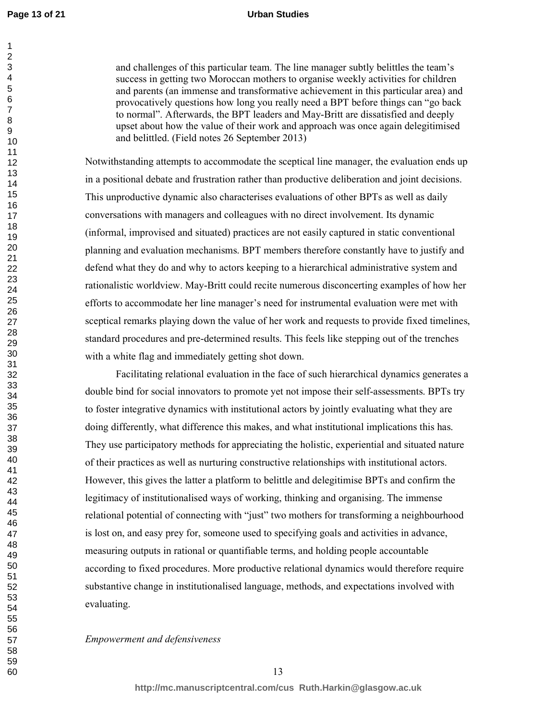#### **Urban Studies**

and challenges of this particular team. The line manager subtly belittles the team's success in getting two Moroccan mothers to organise weekly activities for children and parents (an immense and transformative achievement in this particular area) and provocatively questions how long you really need a BPT before things can "go back to normal". Afterwards, the BPT leaders and May-Britt are dissatisfied and deeply upset about how the value of their work and approach was once again delegitimised and belittled. (Field notes 26 September 2013)

Notwithstanding attempts to accommodate the sceptical line manager, the evaluation ends up in a positional debate and frustration rather than productive deliberation and joint decisions. This unproductive dynamic also characterises evaluations of other BPTs as well as daily conversations with managers and colleagues with no direct involvement. Its dynamic (informal, improvised and situated) practices are not easily captured in static conventional planning and evaluation mechanisms. BPT members therefore constantly have to justify and defend what they do and why to actors keeping to a hierarchical administrative system and rationalistic worldview. May-Britt could recite numerous disconcerting examples of how her efforts to accommodate her line manager's need for instrumental evaluation were met with sceptical remarks playing down the value of her work and requests to provide fixed timelines, standard procedures and pre-determined results. This feels like stepping out of the trenches with a white flag and immediately getting shot down.

Facilitating relational evaluation in the face of such hierarchical dynamics generates a double bind for social innovators to promote yet not impose their self-assessments. BPTs try to foster integrative dynamics with institutional actors by jointly evaluating what they are doing differently, what difference this makes, and what institutional implications this has. They use participatory methods for appreciating the holistic, experiential and situated nature of their practices as well as nurturing constructive relationships with institutional actors. However, this gives the latter a platform to belittle and delegitimise BPTs and confirm the legitimacy of institutionalised ways of working, thinking and organising. The immense relational potential of connecting with "just" two mothers for transforming a neighbourhood is lost on, and easy prey for, someone used to specifying goals and activities in advance, measuring outputs in rational or quantifiable terms, and holding people accountable according to fixed procedures. More productive relational dynamics would therefore require substantive change in institutionalised language, methods, and expectations involved with evaluating.

*Empowerment and defensiveness*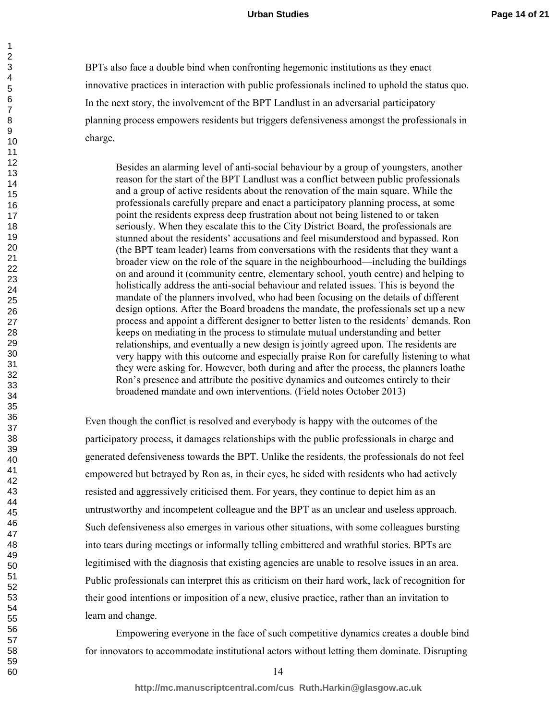BPTs also face a double bind when confronting hegemonic institutions as they enact innovative practices in interaction with public professionals inclined to uphold the status quo. In the next story, the involvement of the BPT Landlust in an adversarial participatory planning process empowers residents but triggers defensiveness amongst the professionals in charge.

Besides an alarming level of anti-social behaviour by a group of youngsters, another reason for the start of the BPT Landlust was a conflict between public professionals and a group of active residents about the renovation of the main square. While the professionals carefully prepare and enact a participatory planning process, at some point the residents express deep frustration about not being listened to or taken seriously. When they escalate this to the City District Board, the professionals are stunned about the residents' accusations and feel misunderstood and bypassed. Ron (the BPT team leader) learns from conversations with the residents that they want a broader view on the role of the square in the neighbourhood—including the buildings on and around it (community centre, elementary school, youth centre) and helping to holistically address the anti-social behaviour and related issues. This is beyond the mandate of the planners involved, who had been focusing on the details of different design options. After the Board broadens the mandate, the professionals set up a new process and appoint a different designer to better listen to the residents' demands. Ron keeps on mediating in the process to stimulate mutual understanding and better relationships, and eventually a new design is jointly agreed upon. The residents are very happy with this outcome and especially praise Ron for carefully listening to what they were asking for. However, both during and after the process, the planners loathe Ron's presence and attribute the positive dynamics and outcomes entirely to their broadened mandate and own interventions. (Field notes October 2013)

Even though the conflict is resolved and everybody is happy with the outcomes of the participatory process, it damages relationships with the public professionals in charge and generated defensiveness towards the BPT. Unlike the residents, the professionals do not feel empowered but betrayed by Ron as, in their eyes, he sided with residents who had actively resisted and aggressively criticised them. For years, they continue to depict him as an untrustworthy and incompetent colleague and the BPT as an unclear and useless approach. Such defensiveness also emerges in various other situations, with some colleagues bursting into tears during meetings or informally telling embittered and wrathful stories. BPTs are legitimised with the diagnosis that existing agencies are unable to resolve issues in an area. Public professionals can interpret this as criticism on their hard work, lack of recognition for their good intentions or imposition of a new, elusive practice, rather than an invitation to learn and change.

 Empowering everyone in the face of such competitive dynamics creates a double bind for innovators to accommodate institutional actors without letting them dominate. Disrupting

59 60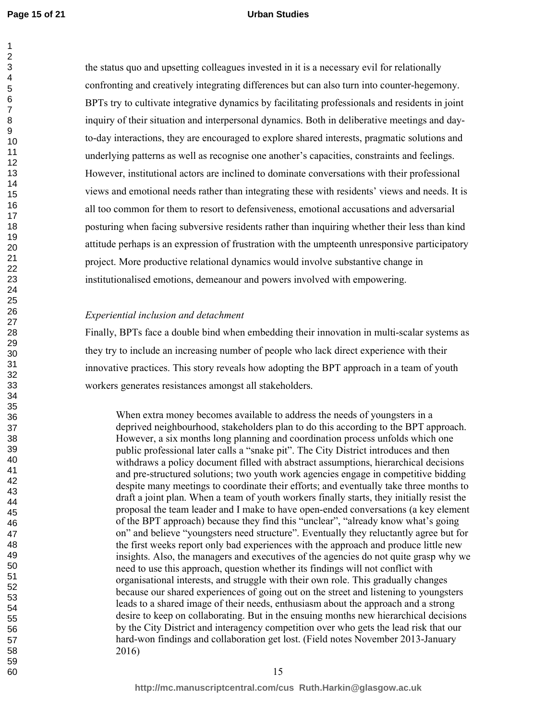the status quo and upsetting colleagues invested in it is a necessary evil for relationally confronting and creatively integrating differences but can also turn into counter-hegemony. BPTs try to cultivate integrative dynamics by facilitating professionals and residents in joint inquiry of their situation and interpersonal dynamics. Both in deliberative meetings and dayto-day interactions, they are encouraged to explore shared interests, pragmatic solutions and underlying patterns as well as recognise one another's capacities, constraints and feelings. However, institutional actors are inclined to dominate conversations with their professional views and emotional needs rather than integrating these with residents' views and needs. It is all too common for them to resort to defensiveness, emotional accusations and adversarial posturing when facing subversive residents rather than inquiring whether their less than kind attitude perhaps is an expression of frustration with the umpteenth unresponsive participatory project. More productive relational dynamics would involve substantive change in institutionalised emotions, demeanour and powers involved with empowering.

#### *Experiential inclusion and detachment*

Finally, BPTs face a double bind when embedding their innovation in multi-scalar systems as they try to include an increasing number of people who lack direct experience with their innovative practices. This story reveals how adopting the BPT approach in a team of youth workers generates resistances amongst all stakeholders.

When extra money becomes available to address the needs of youngsters in a deprived neighbourhood, stakeholders plan to do this according to the BPT approach. However, a six months long planning and coordination process unfolds which one public professional later calls a "snake pit". The City District introduces and then withdraws a policy document filled with abstract assumptions, hierarchical decisions and pre-structured solutions; two youth work agencies engage in competitive bidding despite many meetings to coordinate their efforts; and eventually take three months to draft a joint plan. When a team of youth workers finally starts, they initially resist the proposal the team leader and I make to have open-ended conversations (a key element of the BPT approach) because they find this "unclear", "already know what's going on" and believe "youngsters need structure". Eventually they reluctantly agree but for the first weeks report only bad experiences with the approach and produce little new insights. Also, the managers and executives of the agencies do not quite grasp why we need to use this approach, question whether its findings will not conflict with organisational interests, and struggle with their own role. This gradually changes because our shared experiences of going out on the street and listening to youngsters leads to a shared image of their needs, enthusiasm about the approach and a strong desire to keep on collaborating. But in the ensuing months new hierarchical decisions by the City District and interagency competition over who gets the lead risk that our hard-won findings and collaboration get lost. (Field notes November 2013-January 2016)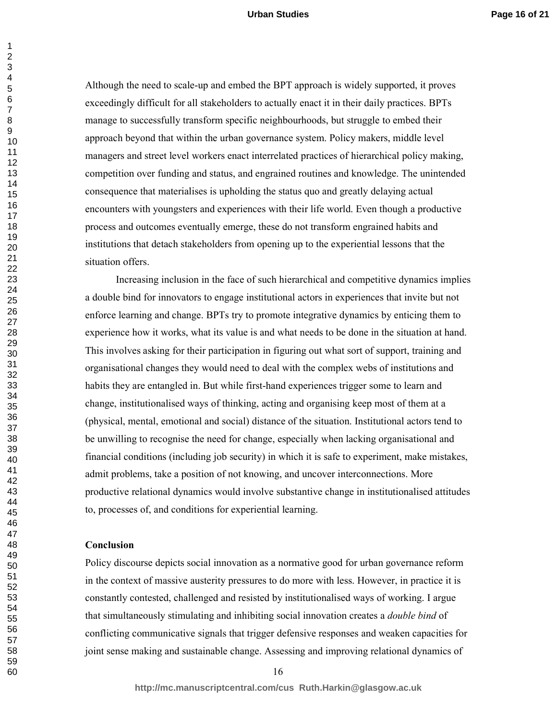Although the need to scale-up and embed the BPT approach is widely supported, it proves exceedingly difficult for all stakeholders to actually enact it in their daily practices. BPTs manage to successfully transform specific neighbourhoods, but struggle to embed their approach beyond that within the urban governance system. Policy makers, middle level managers and street level workers enact interrelated practices of hierarchical policy making, competition over funding and status, and engrained routines and knowledge. The unintended consequence that materialises is upholding the status quo and greatly delaying actual encounters with youngsters and experiences with their life world. Even though a productive process and outcomes eventually emerge, these do not transform engrained habits and institutions that detach stakeholders from opening up to the experiential lessons that the situation offers.

 Increasing inclusion in the face of such hierarchical and competitive dynamics implies a double bind for innovators to engage institutional actors in experiences that invite but not enforce learning and change. BPTs try to promote integrative dynamics by enticing them to experience how it works, what its value is and what needs to be done in the situation at hand. This involves asking for their participation in figuring out what sort of support, training and organisational changes they would need to deal with the complex webs of institutions and habits they are entangled in. But while first-hand experiences trigger some to learn and change, institutionalised ways of thinking, acting and organising keep most of them at a (physical, mental, emotional and social) distance of the situation. Institutional actors tend to be unwilling to recognise the need for change, especially when lacking organisational and financial conditions (including job security) in which it is safe to experiment, make mistakes, admit problems, take a position of not knowing, and uncover interconnections. More productive relational dynamics would involve substantive change in institutionalised attitudes to, processes of, and conditions for experiential learning.

#### **Conclusion**

Policy discourse depicts social innovation as a normative good for urban governance reform in the context of massive austerity pressures to do more with less. However, in practice it is constantly contested, challenged and resisted by institutionalised ways of working. I argue that simultaneously stimulating and inhibiting social innovation creates a *double bind* of conflicting communicative signals that trigger defensive responses and weaken capacities for joint sense making and sustainable change. Assessing and improving relational dynamics of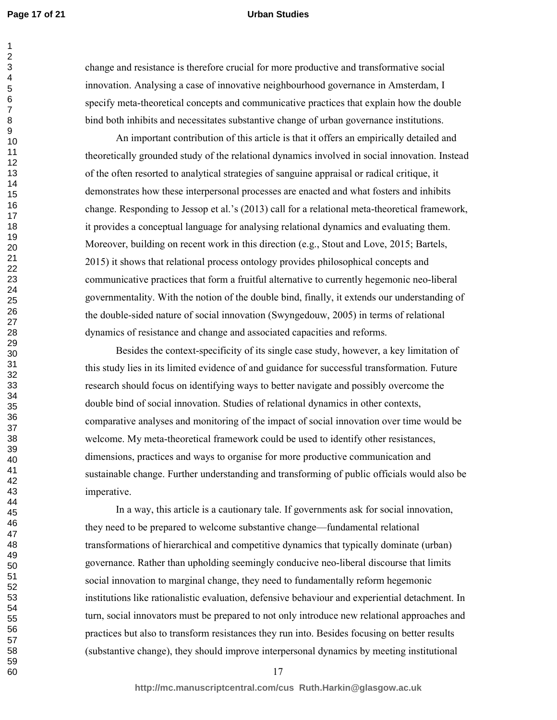#### **Urban Studies**

change and resistance is therefore crucial for more productive and transformative social innovation. Analysing a case of innovative neighbourhood governance in Amsterdam, I specify meta-theoretical concepts and communicative practices that explain how the double bind both inhibits and necessitates substantive change of urban governance institutions.

 An important contribution of this article is that it offers an empirically detailed and theoretically grounded study of the relational dynamics involved in social innovation. Instead of the often resorted to analytical strategies of sanguine appraisal or radical critique, it demonstrates how these interpersonal processes are enacted and what fosters and inhibits change. Responding to Jessop et al.'s (2013) call for a relational meta-theoretical framework, it provides a conceptual language for analysing relational dynamics and evaluating them. Moreover, building on recent work in this direction (e.g., Stout and Love, 2015; Bartels, 2015) it shows that relational process ontology provides philosophical concepts and communicative practices that form a fruitful alternative to currently hegemonic neo-liberal governmentality. With the notion of the double bind, finally, it extends our understanding of the double-sided nature of social innovation (Swyngedouw, 2005) in terms of relational dynamics of resistance and change and associated capacities and reforms.

 Besides the context-specificity of its single case study, however, a key limitation of this study lies in its limited evidence of and guidance for successful transformation. Future research should focus on identifying ways to better navigate and possibly overcome the double bind of social innovation. Studies of relational dynamics in other contexts, comparative analyses and monitoring of the impact of social innovation over time would be welcome. My meta-theoretical framework could be used to identify other resistances, dimensions, practices and ways to organise for more productive communication and sustainable change. Further understanding and transforming of public officials would also be imperative.

 In a way, this article is a cautionary tale. If governments ask for social innovation, they need to be prepared to welcome substantive change—fundamental relational transformations of hierarchical and competitive dynamics that typically dominate (urban) governance. Rather than upholding seemingly conducive neo-liberal discourse that limits social innovation to marginal change, they need to fundamentally reform hegemonic institutions like rationalistic evaluation, defensive behaviour and experiential detachment. In turn, social innovators must be prepared to not only introduce new relational approaches and practices but also to transform resistances they run into. Besides focusing on better results (substantive change), they should improve interpersonal dynamics by meeting institutional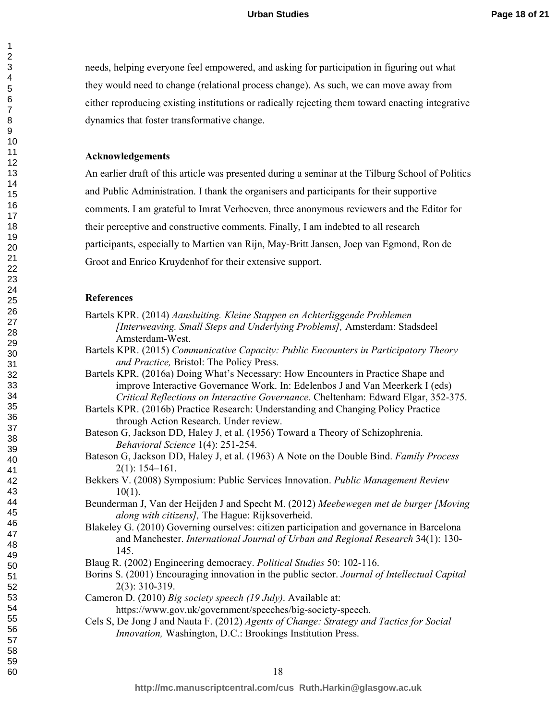needs, helping everyone feel empowered, and asking for participation in figuring out what they would need to change (relational process change). As such, we can move away from either reproducing existing institutions or radically rejecting them toward enacting integrative dynamics that foster transformative change.

#### **Acknowledgements**

An earlier draft of this article was presented during a seminar at the Tilburg School of Politics and Public Administration. I thank the organisers and participants for their supportive comments. I am grateful to Imrat Verhoeven, three anonymous reviewers and the Editor for their perceptive and constructive comments. Finally, I am indebted to all research participants, especially to Martien van Rijn, May-Britt Jansen, Joep van Egmond, Ron de Groot and Enrico Kruydenhof for their extensive support.

#### **References**

- Bartels KPR. (2014) *Aansluiting. Kleine Stappen en Achterliggende Problemen [Interweaving. Small Steps and Underlying Problems],* Amsterdam: Stadsdeel Amsterdam-West.
- Bartels KPR. (2015) *Communicative Capacity: Public Encounters in Participatory Theory and Practice,* Bristol: The Policy Press.
- Bartels KPR. (2016a) Doing What's Necessary: How Encounters in Practice Shape and improve Interactive Governance Work. In: Edelenbos J and Van Meerkerk I (eds) *Critical Reflections on Interactive Governance.* Cheltenham: Edward Elgar, 352-375.
- Bartels KPR. (2016b) Practice Research: Understanding and Changing Policy Practice through Action Research. Under review.

Bateson G, Jackson DD, Haley J, et al. (1956) Toward a Theory of Schizophrenia. *Behavioral Science* 1(4): 251-254.

- Bateson G, Jackson DD, Haley J, et al. (1963) A Note on the Double Bind. *Family Process* 2(1): 154–161.
- Bekkers V. (2008) Symposium: Public Services Innovation. *Public Management Review* 10(1).
- Beunderman J, Van der Heijden J and Specht M. (2012) *Meebewegen met de burger [Moving along with citizens],* The Hague: Rijksoverheid.
- Blakeley G. (2010) Governing ourselves: citizen participation and governance in Barcelona and Manchester. *International Journal of Urban and Regional Research* 34(1): 130- 145.
- Blaug R. (2002) Engineering democracy. *Political Studies* 50: 102-116.
- Borins S. (2001) Encouraging innovation in the public sector. *Journal of Intellectual Capital* 2(3): 310-319.
- Cameron D. (2010) *Big society speech (19 July)*. Available at:
	- https://www.gov.uk/government/speeches/big-society-speech.
- Cels S, De Jong J and Nauta F. (2012) *Agents of Change: Strategy and Tactics for Social Innovation,* Washington, D.C.: Brookings Institution Press.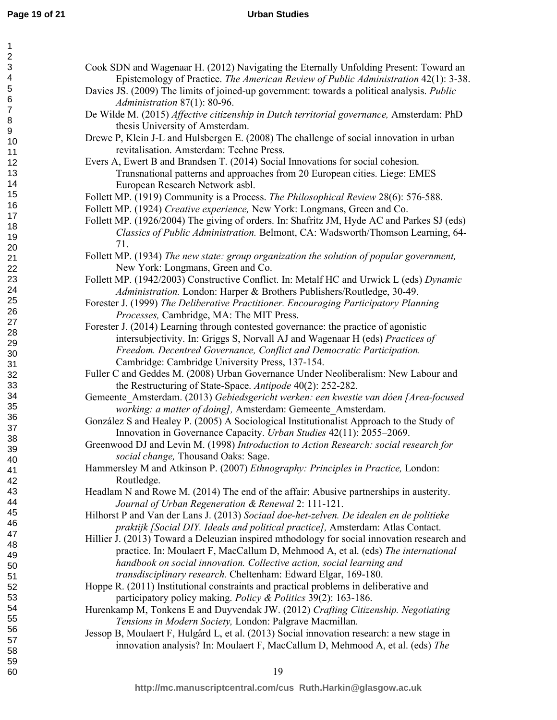| 1                         |                                                                                             |
|---------------------------|---------------------------------------------------------------------------------------------|
| $\overline{\mathbf{c}}$   |                                                                                             |
| $\ensuremath{\mathsf{3}}$ | Cook SDN and Wagenaar H. (2012) Navigating the Eternally Unfolding Present: Toward an       |
| 4                         | Epistemology of Practice. The American Review of Public Administration 42(1): 3-38.         |
| 5                         | Davies JS. (2009) The limits of joined-up government: towards a political analysis. Public  |
| 6<br>$\overline{7}$       | Administration 87(1): 80-96.                                                                |
| $\bf 8$                   | De Wilde M. (2015) Affective citizenship in Dutch territorial governance, Amsterdam: PhD    |
| $\mathsf g$               | thesis University of Amsterdam.                                                             |
| 10                        | Drewe P, Klein J-L and Hulsbergen E. (2008) The challenge of social innovation in urban     |
| 11                        | revitalisation. Amsterdam: Techne Press.                                                    |
| 12                        | Evers A, Ewert B and Brandsen T. (2014) Social Innovations for social cohesion.             |
| 13                        | Transnational patterns and approaches from 20 European cities. Liege: EMES                  |
| 14                        | European Research Network asbl.                                                             |
| 15                        | Follett MP. (1919) Community is a Process. The Philosophical Review 28(6): 576-588.         |
| 16                        | Follett MP. (1924) Creative experience, New York: Longmans, Green and Co.                   |
| 17                        | Follett MP. (1926/2004) The giving of orders. In: Shafritz JM, Hyde AC and Parkes SJ (eds)  |
| 18                        | Classics of Public Administration. Belmont, CA: Wadsworth/Thomson Learning, 64-             |
| 19                        | 71.                                                                                         |
| 20                        |                                                                                             |
| 21                        | Follett MP. (1934) The new state: group organization the solution of popular government,    |
| 22                        | New York: Longmans, Green and Co.                                                           |
| 23                        | Follett MP. (1942/2003) Constructive Conflict. In: Metalf HC and Urwick L (eds) Dynamic     |
| 24<br>25                  | Administration. London: Harper & Brothers Publishers/Routledge, 30-49.                      |
| 26                        | Forester J. (1999) The Deliberative Practitioner. Encouraging Participatory Planning        |
| 27                        | Processes, Cambridge, MA: The MIT Press.                                                    |
| 28                        | Forester J. (2014) Learning through contested governance: the practice of agonistic         |
| 29                        | intersubjectivity. In: Griggs S, Norvall AJ and Wagenaar H (eds) Practices of               |
| 30                        | Freedom. Decentred Governance, Conflict and Democratic Participation.                       |
| 31                        | Cambridge: Cambridge University Press, 137-154.                                             |
| 32                        | Fuller C and Geddes M. (2008) Urban Governance Under Neoliberalism: New Labour and          |
| 33                        | the Restructuring of State-Space. Antipode 40(2): 252-282.                                  |
| 34                        | Gemeente Amsterdam. (2013) Gebiedsgericht werken: een kwestie van dóen [Area-focused        |
| 35                        | working: a matter of doing], Amsterdam: Gemeente Amsterdam.                                 |
| 36                        | González S and Healey P. (2005) A Sociological Institutionalist Approach to the Study of    |
| 37                        | Innovation in Governance Capacity. Urban Studies 42(11): 2055–2069.                         |
| 38                        | Greenwood DJ and Levin M. (1998) Introduction to Action Research: social research for       |
| 39                        | social change, Thousand Oaks: Sage.                                                         |
| 40<br>41                  | Hammersley M and Atkinson P. (2007) Ethnography: Principles in Practice, London:            |
| 42                        | Routledge.                                                                                  |
| 43                        | Headlam N and Rowe M. (2014) The end of the affair: Abusive partnerships in austerity.      |
| 44                        | Journal of Urban Regeneration & Renewal 2: 111-121.                                         |
| 45                        | Hilhorst P and Van der Lans J. (2013) Sociaal doe-het-zelven. De idealen en de politieke    |
| 46                        | praktijk [Social DIY. Ideals and political practice], Amsterdam: Atlas Contact.             |
| 47                        |                                                                                             |
| 48                        | Hillier J. (2013) Toward a Deleuzian inspired mthodology for social innovation research and |
| 49                        | practice. In: Moulaert F, MacCallum D, Mehmood A, et al. (eds) The international            |
| 50                        | handbook on social innovation. Collective action, social learning and                       |
| 51                        | transdisciplinary research. Cheltenham: Edward Elgar, 169-180.                              |
| 52                        | Hoppe R. (2011) Institutional constraints and practical problems in deliberative and        |
| 53                        | participatory policy making. Policy & Politics 39(2): 163-186.                              |
| 54                        | Hurenkamp M, Tonkens E and Duyvendak JW. (2012) Crafting Citizenship. Negotiating           |
| 55                        | Tensions in Modern Society, London: Palgrave Macmillan.                                     |
| 56<br>57                  | Jessop B, Moulaert F, Hulgård L, et al. (2013) Social innovation research: a new stage in   |
| 58                        | innovation analysis? In: Moulaert F, MacCallum D, Mehmood A, et al. (eds) The               |
| 59                        |                                                                                             |
| 60                        | 19                                                                                          |
|                           |                                                                                             |

**http://mc.manuscriptcentral.com/cus Ruth.Harkin@glasgow.ac.uk**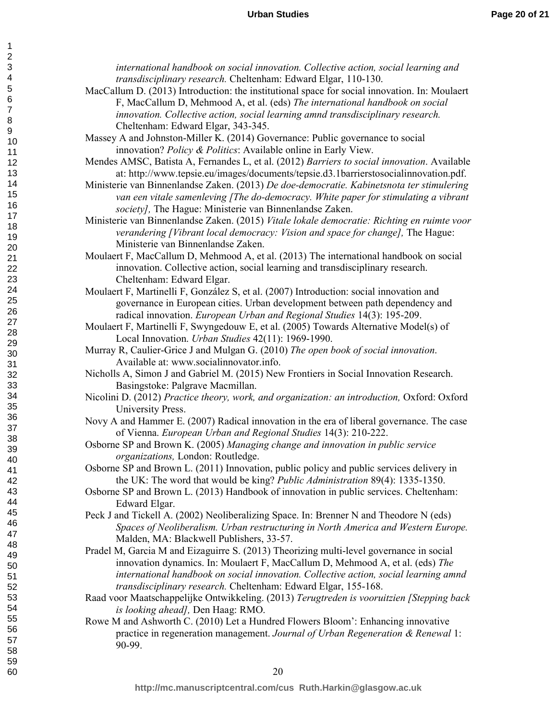| international handbook on social innovation. Collective action, social learning and           |  |
|-----------------------------------------------------------------------------------------------|--|
| transdisciplinary research. Cheltenham: Edward Elgar, 110-130.                                |  |
| MacCallum D. (2013) Introduction: the institutional space for social innovation. In: Moulaert |  |
| F, MacCallum D, Mehmood A, et al. (eds) The international handbook on social                  |  |
| innovation. Collective action, social learning amnd transdisciplinary research.               |  |
| Cheltenham: Edward Elgar, 343-345.                                                            |  |
| Massey A and Johnston-Miller K. (2014) Governance: Public governance to social                |  |
| innovation? Policy & Politics: Available online in Early View.                                |  |
| Mendes AMSC, Batista A, Fernandes L, et al. (2012) Barriers to social innovation. Available   |  |
| at: http://www.tepsie.eu/images/documents/tepsie.d3.1barrierstosocialinnovation.pdf.          |  |
| Ministerie van Binnenlandse Zaken. (2013) De doe-democratie. Kabinetsnota ter stimulering     |  |
| van een vitale samenleving [The do-democracy. White paper for stimulating a vibrant           |  |
| society], The Hague: Ministerie van Binnenlandse Zaken.                                       |  |
| Ministerie van Binnenlandse Zaken. (2015) Vitale lokale democratie: Richting en ruimte voor   |  |
| verandering [Vibrant local democracy: Vision and space for change], The Hague:                |  |
| Ministerie van Binnenlandse Zaken.                                                            |  |
| Moulaert F, MacCallum D, Mehmood A, et al. (2013) The international handbook on social        |  |
| innovation. Collective action, social learning and transdisciplinary research.                |  |
| Cheltenham: Edward Elgar.                                                                     |  |
| Moulaert F, Martinelli F, González S, et al. (2007) Introduction: social innovation and       |  |
| governance in European cities. Urban development between path dependency and                  |  |
| radical innovation. European Urban and Regional Studies 14(3): 195-209.                       |  |
| Moulaert F, Martinelli F, Swyngedouw E, et al. (2005) Towards Alternative Model(s) of         |  |
| Local Innovation. Urban Studies 42(11): 1969-1990.                                            |  |
| Murray R, Caulier-Grice J and Mulgan G. (2010) The open book of social innovation.            |  |
| Available at: www.socialinnovator.info.                                                       |  |
| Nicholls A, Simon J and Gabriel M. (2015) New Frontiers in Social Innovation Research.        |  |
| Basingstoke: Palgrave Macmillan.                                                              |  |
| Nicolini D. (2012) Practice theory, work, and organization: an introduction, Oxford: Oxford   |  |
| University Press.                                                                             |  |
| Novy A and Hammer E. (2007) Radical innovation in the era of liberal governance. The case     |  |
| of Vienna. European Urban and Regional Studies 14(3): 210-222.                                |  |
| Osborne SP and Brown K. (2005) Managing change and innovation in public service               |  |
| organizations, London: Routledge                                                              |  |
| Osborne SP and Brown L. (2011) Innovation, public policy and public services delivery in      |  |
| the UK: The word that would be king? Public Administration 89(4): 1335-1350.                  |  |
| Osborne SP and Brown L. (2013) Handbook of innovation in public services. Cheltenham:         |  |
| Edward Elgar.                                                                                 |  |
| Peck J and Tickell A. (2002) Neoliberalizing Space. In: Brenner N and Theodore N (eds)        |  |
| Spaces of Neoliberalism. Urban restructuring in North America and Western Europe.             |  |
| Malden, MA: Blackwell Publishers, 33-57.                                                      |  |
| Pradel M, Garcia M and Eizaguirre S. (2013) Theorizing multi-level governance in social       |  |
| innovation dynamics. In: Moulaert F, MacCallum D, Mehmood A, et al. (eds) The                 |  |
| international handbook on social innovation. Collective action, social learning amnd          |  |
| transdisciplinary research. Cheltenham: Edward Elgar, 155-168.                                |  |
| Raad voor Maatschappelijke Ontwikkeling. (2013) Terugtreden is vooruitzien [Stepping back     |  |
| is looking ahead], Den Haag: RMO.                                                             |  |
| Rowe M and Ashworth C. (2010) Let a Hundred Flowers Bloom': Enhancing innovative              |  |
| practice in regeneration management. Journal of Urban Regeneration & Renewal 1:               |  |

90-99.